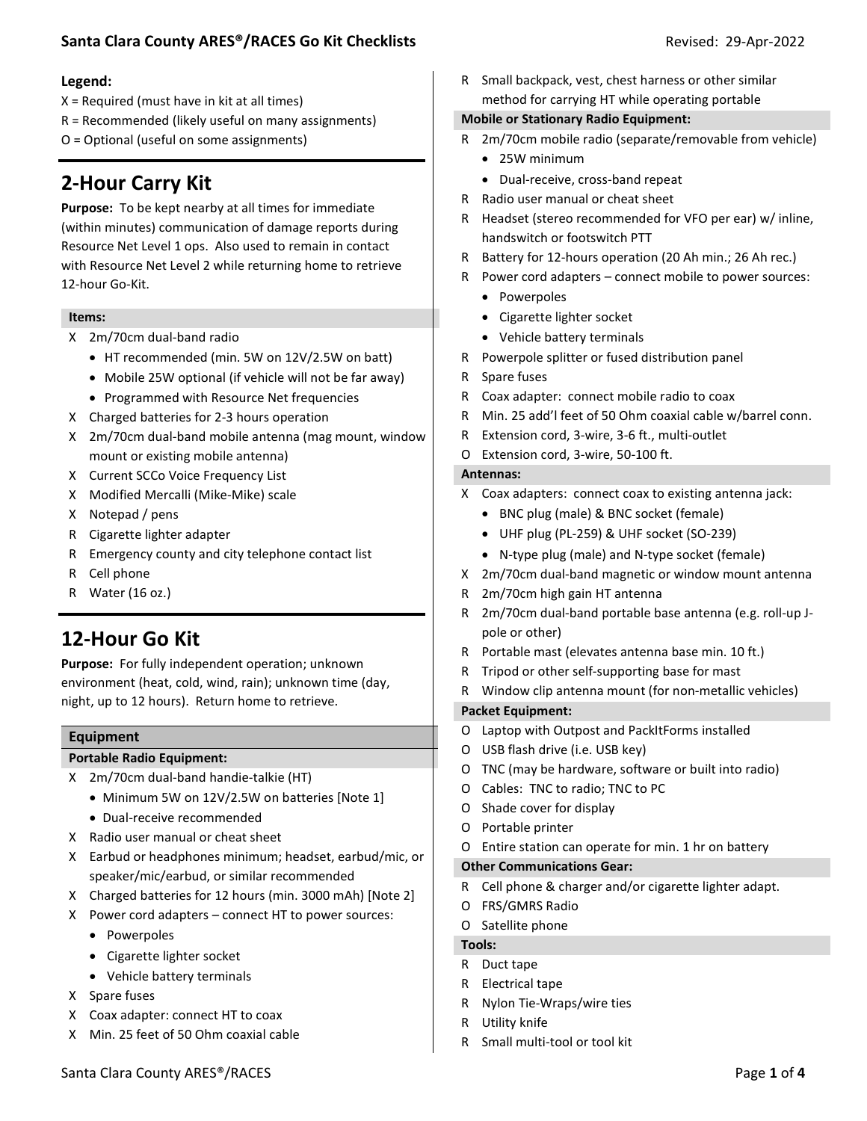### Santa Clara County ARES<sup>®</sup>/RACES Go Kit Checklists **Revised: 29-Apr-2022** Revised: 29-Apr-2022

#### Legend:

- X = Required (must have in kit at all times)
- R = Recommended (likely useful on many assignments)
- O = Optional (useful on some assignments)

# 2-Hour Carry Kit

Purpose: To be kept nearby at all times for immediate (within minutes) communication of damage reports during Resource Net Level 1 ops. Also used to remain in contact with Resource Net Level 2 while returning home to retrieve 12-hour Go-Kit.

#### Items:

- X 2m/70cm dual-band radio
	- HT recommended (min. 5W on 12V/2.5W on batt)
	- Mobile 25W optional (if vehicle will not be far away)
	- Programmed with Resource Net frequencies
- X Charged batteries for 2-3 hours operation
- X 2m/70cm dual-band mobile antenna (mag mount, window mount or existing mobile antenna)
- X Current SCCo Voice Frequency List
- X Modified Mercalli (Mike-Mike) scale
- X Notepad / pens
- R Cigarette lighter adapter
- R Emergency county and city telephone contact list
- R Cell phone
- R Water (16 oz.)

## 12-Hour Go Kit

Purpose: For fully independent operation; unknown environment (heat, cold, wind, rain); unknown time (day, night, up to 12 hours). Return home to retrieve.

#### Equipment

#### Portable Radio Equipment:

- X 2m/70cm dual-band handie-talkie (HT)
	- Minimum 5W on 12V/2.5W on batteries [Note 1]
	- Dual-receive recommended
- X Radio user manual or cheat sheet
- X Earbud or headphones minimum; headset, earbud/mic, or speaker/mic/earbud, or similar recommended
- X Charged batteries for 12 hours (min. 3000 mAh) [Note 2]
- X Power cord adapters connect HT to power sources:
	- Powerpoles
	- Cigarette lighter socket
	- Vehicle battery terminals
- X Spare fuses
- X Coax adapter: connect HT to coax
- X Min. 25 feet of 50 Ohm coaxial cable

R Small backpack, vest, chest harness or other similar method for carrying HT while operating portable

#### Mobile or Stationary Radio Equipment:

- R 2m/70cm mobile radio (separate/removable from vehicle)
	- 25W minimum
	- Dual-receive, cross-band repeat
- R Radio user manual or cheat sheet
- R Headset (stereo recommended for VFO per ear) w/ inline, handswitch or footswitch PTT
- R Battery for 12-hours operation (20 Ah min.; 26 Ah rec.)
- R Power cord adapters connect mobile to power sources:
	- Powerpoles
	- Cigarette lighter socket
	- Vehicle battery terminals
- R Powerpole splitter or fused distribution panel
- R Spare fuses
- R Coax adapter: connect mobile radio to coax
- R Min. 25 add'l feet of 50 Ohm coaxial cable w/barrel conn.
- R Extension cord, 3-wire, 3-6 ft., multi-outlet
- O Extension cord, 3-wire, 50-100 ft.

#### Antennas:

- X Coax adapters: connect coax to existing antenna jack:
	- BNC plug (male) & BNC socket (female)
	- UHF plug (PL-259) & UHF socket (SO-239)
	- N-type plug (male) and N-type socket (female)
- X 2m/70cm dual-band magnetic or window mount antenna
- R 2m/70cm high gain HT antenna
- R 2m/70cm dual-band portable base antenna (e.g. roll-up Jpole or other)
- R Portable mast (elevates antenna base min. 10 ft.)
- R Tripod or other self-supporting base for mast
- R Window clip antenna mount (for non-metallic vehicles)

#### Packet Equipment:

- O Laptop with Outpost and PackItForms installed
- O USB flash drive (i.e. USB key)
- O TNC (may be hardware, software or built into radio)
- O Cables: TNC to radio; TNC to PC
- O Shade cover for display
- O Portable printer
- O Entire station can operate for min. 1 hr on battery

#### Other Communications Gear:

- R Cell phone & charger and/or cigarette lighter adapt.
- O FRS/GMRS Radio
- O Satellite phone

#### Tools:

- R Duct tape
- R Electrical tape
- R Nylon Tie-Wraps/wire ties
- R Utility knife
- R Small multi-tool or tool kit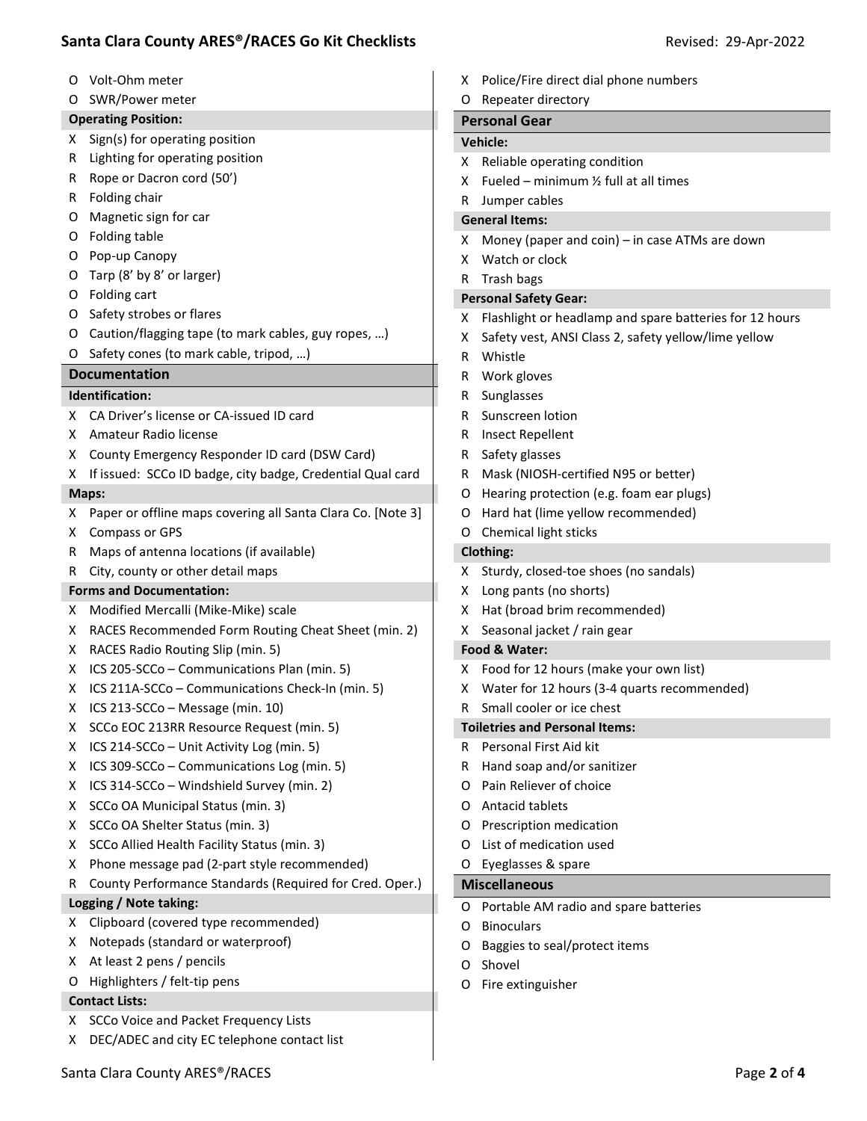### Santa Clara County ARES<sup>®</sup>/RACES Go Kit Checklists **Revised: 29-Apr-2022** Revised: 29-Apr-2022

| Ő                          | Volt-Ohm meter                                              |                      | X Police/Fire direct dial phone numbers                 |
|----------------------------|-------------------------------------------------------------|----------------------|---------------------------------------------------------|
| O                          | SWR/Power meter                                             | 0                    | Repeater directory                                      |
| <b>Operating Position:</b> |                                                             | <b>Personal Gear</b> |                                                         |
| X.                         | Sign(s) for operating position                              |                      | <b>Vehicle:</b>                                         |
| R                          | Lighting for operating position                             |                      | X Reliable operating condition                          |
| R                          | Rope or Dacron cord (50')                                   | x.                   | Fueled – minimum $\frac{1}{2}$ full at all times        |
| R.                         | Folding chair                                               | R.                   | Jumper cables                                           |
| O                          | Magnetic sign for car                                       |                      | <b>General Items:</b>                                   |
| O                          | Folding table                                               | X.                   | Money (paper and coin) – in case ATMs are down          |
| Ő                          | Pop-up Canopy                                               | X.                   | Watch or clock                                          |
| O                          | Tarp (8' by 8' or larger)                                   |                      | R Trash bags                                            |
| Ő                          | Folding cart                                                |                      | <b>Personal Safety Gear:</b>                            |
| O                          | Safety strobes or flares                                    | x.                   | Flashlight or headlamp and spare batteries for 12 hours |
| O                          | Caution/flagging tape (to mark cables, guy ropes, )         | x                    | Safety vest, ANSI Class 2, safety yellow/lime yellow    |
| O                          | Safety cones (to mark cable, tripod, )                      | R                    | Whistle                                                 |
|                            | <b>Documentation</b>                                        | R                    | Work gloves                                             |
|                            | Identification:                                             | R                    | Sunglasses                                              |
| X.                         | CA Driver's license or CA-issued ID card                    | R                    | Sunscreen lotion                                        |
| X.                         | Amateur Radio license                                       | R                    | <b>Insect Repellent</b>                                 |
| X.                         | County Emergency Responder ID card (DSW Card)               | R                    | Safety glasses                                          |
| X.                         | If issued: SCCo ID badge, city badge, Credential Qual card  | R                    | Mask (NIOSH-certified N95 or better)                    |
|                            | Maps:                                                       | 0                    | Hearing protection (e.g. foam ear plugs)                |
| X.                         | Paper or offline maps covering all Santa Clara Co. [Note 3] | 0                    | Hard hat (lime yellow recommended)                      |
|                            | Compass or GPS                                              |                      | O Chemical light sticks                                 |
| X.                         |                                                             |                      |                                                         |
| R.                         | Maps of antenna locations (if available)                    |                      | <b>Clothing:</b>                                        |
| R.                         | City, county or other detail maps                           |                      | X Sturdy, closed-toe shoes (no sandals)                 |
|                            | <b>Forms and Documentation:</b>                             | x                    | Long pants (no shorts)                                  |
| x.                         | Modified Mercalli (Mike-Mike) scale                         |                      | X Hat (broad brim recommended)                          |
| X.                         | RACES Recommended Form Routing Cheat Sheet (min. 2)         |                      | X Seasonal jacket / rain gear                           |
| X.                         | RACES Radio Routing Slip (min. 5)                           |                      | Food & Water:                                           |
| X.                         | ICS 205-SCCo - Communications Plan (min. 5)                 |                      | X Food for 12 hours (make your own list)                |
| X.                         | ICS 211A-SCCo - Communications Check-In (min. 5)            |                      | X Water for 12 hours (3-4 quarts recommended)           |
| x                          | ICS 213-SCCo - Message (min. 10)                            | R                    | Small cooler or ice chest                               |
| X.                         | SCCo EOC 213RR Resource Request (min. 5)                    |                      | <b>Toiletries and Personal Items:</b>                   |
| X.                         | ICS 214-SCCo - Unit Activity Log (min. 5)                   | R.                   | Personal First Aid kit                                  |
| x                          | ICS 309-SCCo - Communications Log (min. 5)                  | R                    | Hand soap and/or sanitizer                              |
| X                          | ICS 314-SCCo - Windshield Survey (min. 2)                   | 0                    | Pain Reliever of choice                                 |
| X.                         | SCCo OA Municipal Status (min. 3)                           | 0                    | Antacid tablets                                         |
| X                          | SCCo OA Shelter Status (min. 3)                             | 0                    | Prescription medication                                 |
| x.                         | SCCo Allied Health Facility Status (min. 3)                 | 0                    | List of medication used                                 |
| x                          | Phone message pad (2-part style recommended)                | 0                    | Eyeglasses & spare                                      |
| R.                         | County Performance Standards (Required for Cred. Oper.)     |                      | <b>Miscellaneous</b>                                    |
|                            | Logging / Note taking:                                      | 0                    | Portable AM radio and spare batteries                   |
| x.                         | Clipboard (covered type recommended)                        | 0                    | <b>Binoculars</b>                                       |
| X.                         | Notepads (standard or waterproof)                           | Ő                    | Baggies to seal/protect items                           |
| x.                         | At least 2 pens / pencils                                   | 0                    | Shovel                                                  |
| O                          | Highlighters / felt-tip pens                                | 0                    | Fire extinguisher                                       |
|                            | <b>Contact Lists:</b>                                       |                      |                                                         |
| X.                         | SCCo Voice and Packet Frequency Lists                       |                      |                                                         |
| X.                         | DEC/ADEC and city EC telephone contact list                 |                      |                                                         |

٦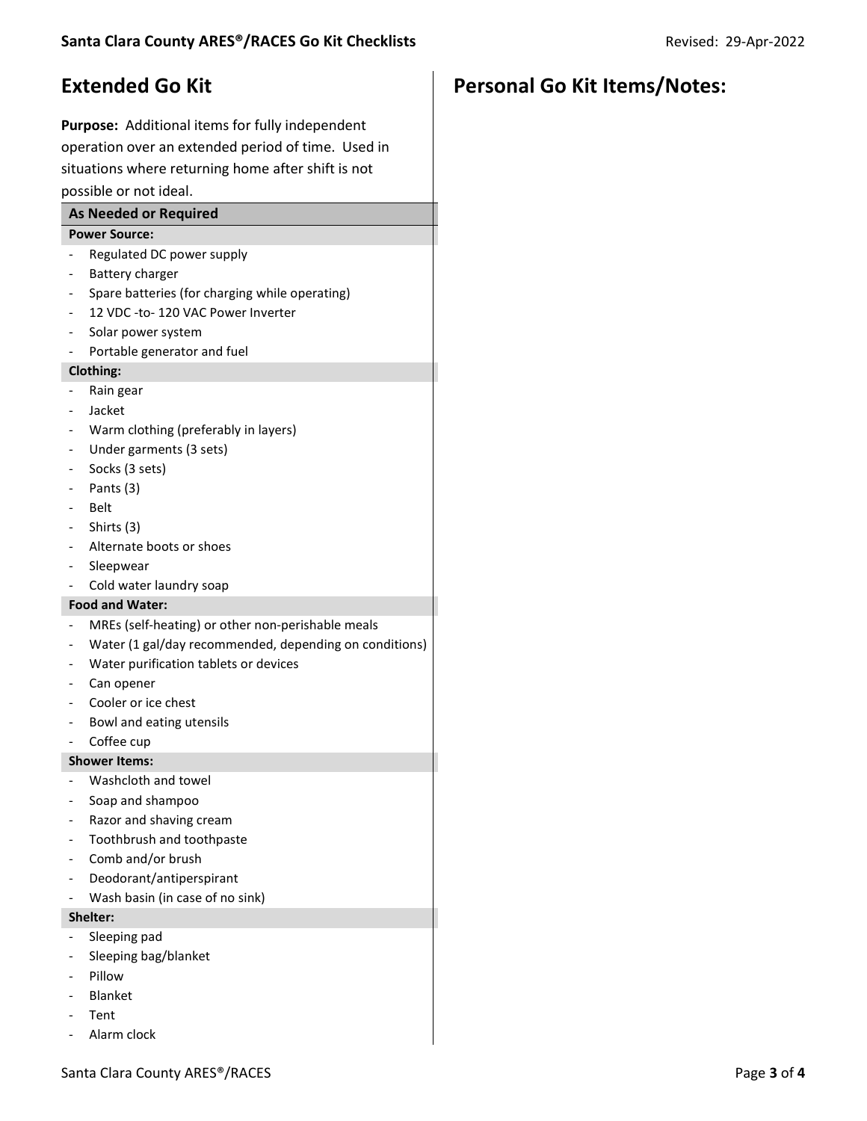## Extended Go Kit

Purpose: Additional items for fully independent operation over an extended period of time. Used in situations where returning home after shift is not possible or not ideal.

#### As Needed or Required

#### Power Source:

- Regulated DC power supply
- Battery charger
- Spare batteries (for charging while operating)
- 12 VDC -to- 120 VAC Power Inverter
- Solar power system
- Portable generator and fuel

#### Clothing:

- Rain gear
- Jacket
- Warm clothing (preferably in layers)
- Under garments (3 sets)
- Socks (3 sets)
- Pants (3)
- Belt
- Shirts (3)
- Alternate boots or shoes
- Sleepwear
- Cold water laundry soap

#### Food and Water:

- MREs (self-heating) or other non-perishable meals
- Water (1 gal/day recommended, depending on conditions)
- Water purification tablets or devices
- Can opener
- Cooler or ice chest
- Bowl and eating utensils
- Coffee cup

#### Shower Items:

- Washcloth and towel
- Soap and shampoo
- Razor and shaving cream
- Toothbrush and toothpaste
- Comb and/or brush
- Deodorant/antiperspirant
- Wash basin (in case of no sink)

Shelter:

- Sleeping pad
- Sleeping bag/blanket
- **Pillow**
- Blanket
- Tent
- Alarm clock

# Personal Go Kit Items/Notes: